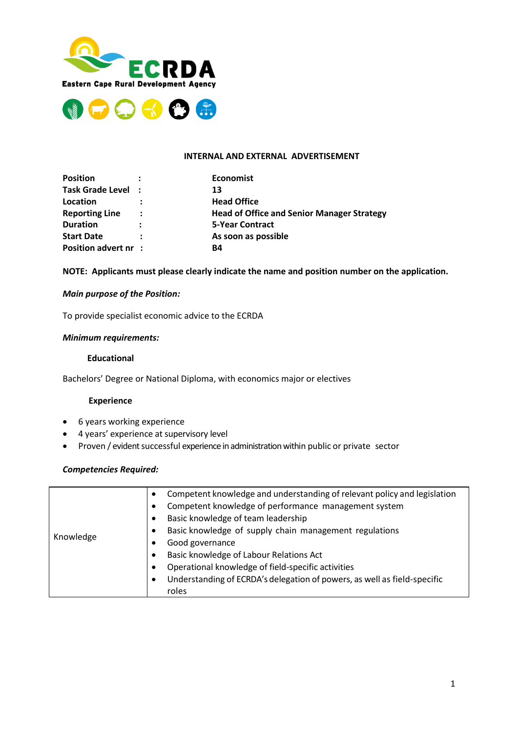



#### **INTERNAL AND EXTERNAL ADVERTISEMENT**

| <b>Position</b>             |                | <b>Economist</b>                                  |
|-----------------------------|----------------|---------------------------------------------------|
| Task Grade Level :          |                | 13                                                |
| Location                    |                | <b>Head Office</b>                                |
| <b>Reporting Line</b>       | $\ddot{\cdot}$ | <b>Head of Office and Senior Manager Strategy</b> |
| <b>Duration</b>             | :              | <b>5-Year Contract</b>                            |
| <b>Start Date</b>           |                | As soon as possible                               |
| <b>Position advert nr :</b> |                | B4                                                |

## **NOTE: Applicants must please clearly indicate the name and position number on the application.**

### *Main purpose of the Position:*

To provide specialist economic advice to the ECRDA

## *Minimum requirements:*

## **Educational**

Bachelors' Degree or National Diploma, with economics major or electives

### **Experience**

- 6 years working experience
- 4 years' experience at supervisory level
- Proven / evident successful experience in administration within public or private sector

## *Competencies Required:*

| Knowledge | Competent knowledge and understanding of relevant policy and legislation<br>$\bullet$ |
|-----------|---------------------------------------------------------------------------------------|
|           | Competent knowledge of performance management system<br>$\bullet$                     |
|           | Basic knowledge of team leadership                                                    |
|           | Basic knowledge of supply chain management regulations<br>$\bullet$                   |
|           | Good governance<br>$\bullet$                                                          |
|           | Basic knowledge of Labour Relations Act<br>$\bullet$                                  |
|           | Operational knowledge of field-specific activities<br>$\bullet$                       |
|           | Understanding of ECRDA's delegation of powers, as well as field-specific<br>$\bullet$ |
|           | roles                                                                                 |
|           |                                                                                       |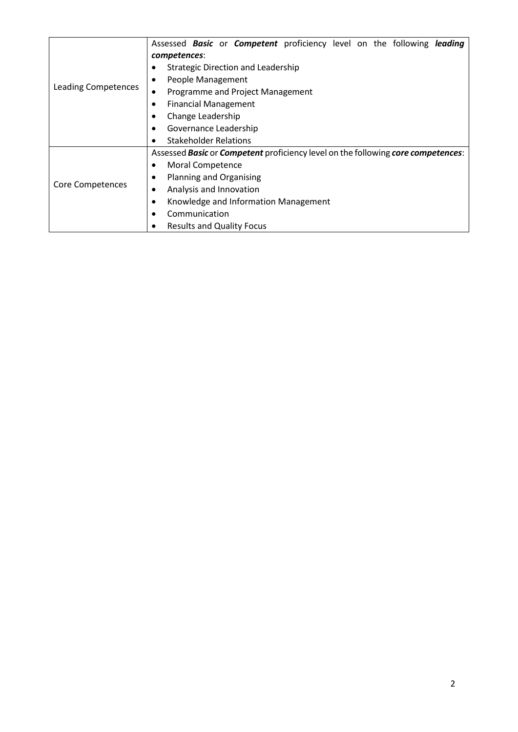|                            | Assessed Basic or Competent proficiency level on the following leading           |  |  |  |  |
|----------------------------|----------------------------------------------------------------------------------|--|--|--|--|
| <b>Leading Competences</b> | competences:                                                                     |  |  |  |  |
|                            | <b>Strategic Direction and Leadership</b><br>٠                                   |  |  |  |  |
|                            | People Management                                                                |  |  |  |  |
|                            | Programme and Project Management                                                 |  |  |  |  |
|                            | <b>Financial Management</b><br>$\bullet$                                         |  |  |  |  |
|                            | Change Leadership<br>٠                                                           |  |  |  |  |
|                            | Governance Leadership                                                            |  |  |  |  |
|                            | <b>Stakeholder Relations</b>                                                     |  |  |  |  |
|                            | Assessed Basic or Competent proficiency level on the following core competences: |  |  |  |  |
| <b>Core Competences</b>    | Moral Competence<br>$\bullet$                                                    |  |  |  |  |
|                            | <b>Planning and Organising</b>                                                   |  |  |  |  |
|                            | Analysis and Innovation<br>٠                                                     |  |  |  |  |
|                            | Knowledge and Information Management<br>٠                                        |  |  |  |  |
|                            | Communication<br>$\bullet$                                                       |  |  |  |  |
|                            | <b>Results and Quality Focus</b>                                                 |  |  |  |  |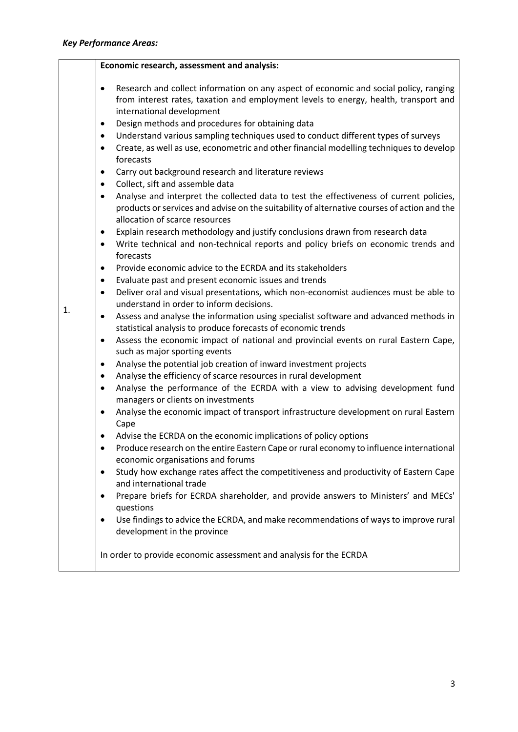|    | Economic research, assessment and analysis:                                                                                                                                                                                           |
|----|---------------------------------------------------------------------------------------------------------------------------------------------------------------------------------------------------------------------------------------|
|    | Research and collect information on any aspect of economic and social policy, ranging<br>$\bullet$<br>from interest rates, taxation and employment levels to energy, health, transport and<br>international development               |
|    | Design methods and procedures for obtaining data<br>$\bullet$                                                                                                                                                                         |
|    | Understand various sampling techniques used to conduct different types of surveys<br>$\bullet$                                                                                                                                        |
|    | Create, as well as use, econometric and other financial modelling techniques to develop<br>$\bullet$<br>forecasts                                                                                                                     |
|    | Carry out background research and literature reviews<br>$\bullet$                                                                                                                                                                     |
|    | Collect, sift and assemble data<br>$\bullet$                                                                                                                                                                                          |
|    | Analyse and interpret the collected data to test the effectiveness of current policies,<br>$\bullet$<br>products or services and advise on the suitability of alternative courses of action and the<br>allocation of scarce resources |
|    | Explain research methodology and justify conclusions drawn from research data<br>$\bullet$<br>Write technical and non-technical reports and policy briefs on economic trends and<br>$\bullet$<br>forecasts                            |
|    | Provide economic advice to the ECRDA and its stakeholders<br>$\bullet$                                                                                                                                                                |
|    | Evaluate past and present economic issues and trends<br>$\bullet$                                                                                                                                                                     |
|    | Deliver oral and visual presentations, which non-economist audiences must be able to<br>$\bullet$<br>understand in order to inform decisions.                                                                                         |
| 1. | Assess and analyse the information using specialist software and advanced methods in<br>$\bullet$<br>statistical analysis to produce forecasts of economic trends                                                                     |
|    | Assess the economic impact of national and provincial events on rural Eastern Cape,<br>$\bullet$<br>such as major sporting events                                                                                                     |
|    | Analyse the potential job creation of inward investment projects<br>$\bullet$                                                                                                                                                         |
|    | Analyse the efficiency of scarce resources in rural development<br>$\bullet$                                                                                                                                                          |
|    | Analyse the performance of the ECRDA with a view to advising development fund<br>$\bullet$<br>managers or clients on investments                                                                                                      |
|    | Analyse the economic impact of transport infrastructure development on rural Eastern<br>$\bullet$<br>Cape                                                                                                                             |
|    | Advise the ECRDA on the economic implications of policy options<br>٠                                                                                                                                                                  |
|    | Produce research on the entire Eastern Cape or rural economy to influence international<br>$\bullet$<br>economic organisations and forums                                                                                             |
|    | Study how exchange rates affect the competitiveness and productivity of Eastern Cape<br>٠<br>and international trade                                                                                                                  |
|    | Prepare briefs for ECRDA shareholder, and provide answers to Ministers' and MECs'<br>٠<br>questions                                                                                                                                   |
|    | Use findings to advice the ECRDA, and make recommendations of ways to improve rural<br>$\bullet$<br>development in the province                                                                                                       |
|    | In order to provide economic assessment and analysis for the ECRDA                                                                                                                                                                    |